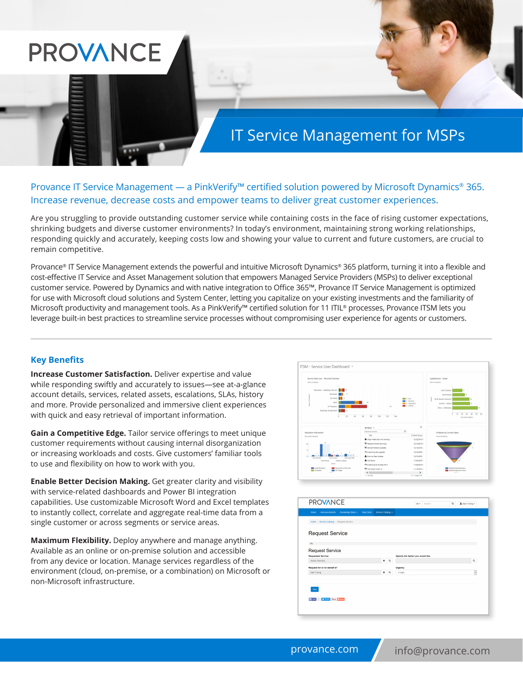# **PROVANCE**

## IT Service Management for MSPs

#### Provance IT Service Management — a PinkVerify™ certified solution powered by Microsoft Dynamics® 365. Increase revenue, decrease costs and empower teams to deliver great customer experiences.

Are you struggling to provide outstanding customer service while containing costs in the face of rising customer expectations, shrinking budgets and diverse customer environments? In today's environment, maintaining strong working relationships, responding quickly and accurately, keeping costs low and showing your value to current and future customers, are crucial to remain competitive.

Provance® IT Service Management extends the powerful and intuitive Microsoft Dynamics® 365 platform, turning it into a flexible and cost-effective IT Service and Asset Management solution that empowers Managed Service Providers (MSPs) to deliver exceptional customer service. Powered by Dynamics and with native integration to Office 365™, Provance IT Service Management is optimized for use with Microsoft cloud solutions and System Center, letting you capitalize on your existing investments and the familiarity of Microsoft productivity and management tools. As a PinkVerify™ certified solution for 11 ITIL® processes, Provance ITSM lets you leverage built-in best practices to streamline service processes without compromising user experience for agents or customers.

#### **Key Benefits**

**Increase Customer Satisfaction.** Deliver expertise and value while responding swiftly and accurately to issues—see at-a-glance account details, services, related assets, escalations, SLAs, history and more. Provide personalized and immersive client experiences with quick and easy retrieval of important information.

**Gain a Competitive Edge.** Tailor service offerings to meet unique customer requirements without causing internal disorganization or increasing workloads and costs. Give customers' familiar tools to use and flexibility on how to work with you.

**Enable Better Decision Making.** Get greater clarity and visibility with service-related dashboards and Power BI integration capabilities. Use customizable Microsoft Word and Excel templates to instantly collect, correlate and aggregate real-time data from a single customer or across segments or service areas.

**Maximum Flexibility.** Deploy anywhere and manage anything. Available as an online or on-premise solution and accessible from any device or location. Manage services regardless of the environment (cloud, on-premise, or a combination) on Microsoft or non-Microsoft infrastructure.



| Knowledge Base +<br><b>Announcements</b><br>Home | <b>Help Desk</b> | Service Catalog + |          |         |                                   |  |            |  |
|--------------------------------------------------|------------------|-------------------|----------|---------|-----------------------------------|--|------------|--|
| Home / Service Catalog / Request Service         |                  |                   |          |         |                                   |  |            |  |
| <b>Request Service</b>                           |                  |                   |          |         |                                   |  |            |  |
| O <sub>N</sub>                                   |                  |                   |          |         |                                   |  |            |  |
| <b>Request Service</b>                           |                  |                   |          |         |                                   |  |            |  |
| <b>Requested Service</b>                         |                  |                   |          |         | Specify the Option you would like |  |            |  |
| Active Directory                                 |                  | ×                 | Q        |         |                                   |  | Q          |  |
| Request for or on behalf of "                    |                  |                   |          | Urgency |                                   |  |            |  |
| Alan Turing                                      |                  | ×                 | $\alpha$ | 2-Hoh   |                                   |  | $\backsim$ |  |
|                                                  |                  |                   |          |         |                                   |  |            |  |
|                                                  |                  |                   |          |         |                                   |  |            |  |
| Next                                             |                  |                   |          |         |                                   |  |            |  |
|                                                  |                  |                   |          |         |                                   |  |            |  |